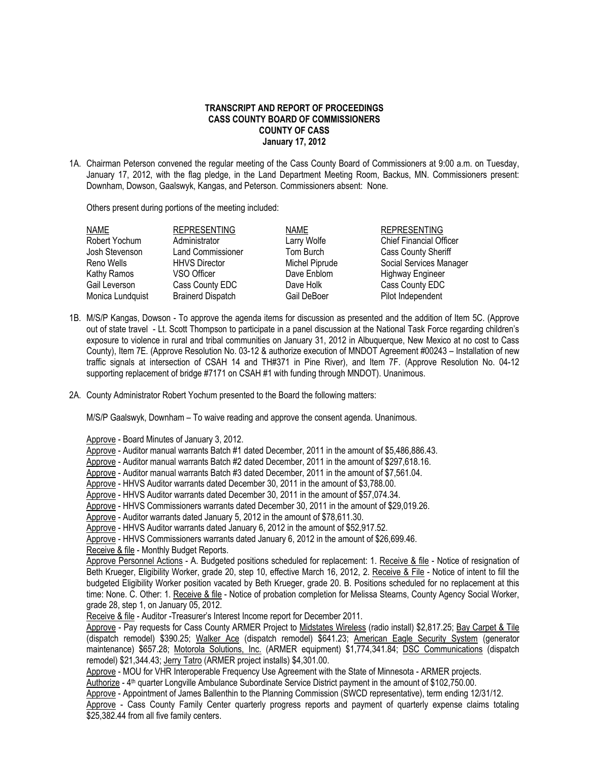## **TRANSCRIPT AND REPORT OF PROCEEDINGS CASS COUNTY BOARD OF COMMISSIONERS COUNTY OF CASS January 17, 2012**

1A. Chairman Peterson convened the regular meeting of the Cass County Board of Commissioners at 9:00 a.m. on Tuesday, January 17, 2012, with the flag pledge, in the Land Department Meeting Room, Backus, MN. Commissioners present: Downham, Dowson, Gaalswyk, Kangas, and Peterson. Commissioners absent: None.

Others present during portions of the meeting included:

| NAME             | <b>REPRESENTING</b>      | <b>NAME</b>    | <b>REPRESENTING</b>            |
|------------------|--------------------------|----------------|--------------------------------|
| Robert Yochum    | Administrator            | Larry Wolfe    | <b>Chief Financial Officer</b> |
| Josh Stevenson   | <b>Land Commissioner</b> | Tom Burch      | <b>Cass County Sheriff</b>     |
| Reno Wells       | <b>HHVS Director</b>     | Michel Piprude | Social Services Manager        |
| Kathy Ramos      | VSO Officer              | Dave Enblom    | <b>Highway Engineer</b>        |
| Gail Leverson    | Cass County EDC          | Dave Holk      | Cass County EDC                |
| Monica Lundquist | <b>Brainerd Dispatch</b> | Gail DeBoer    | Pilot Independent              |

- 1B. M/S/P Kangas, Dowson To approve the agenda items for discussion as presented and the addition of Item 5C. (Approve out of state travel - Lt. Scott Thompson to participate in a panel discussion at the National Task Force regarding children's exposure to violence in rural and tribal communities on January 31, 2012 in Albuquerque, New Mexico at no cost to Cass County), Item 7E. (Approve Resolution No. 03-12 & authorize execution of MNDOT Agreement #00243 – Installation of new traffic signals at intersection of CSAH 14 and TH#371 in Pine River), and Item 7F. (Approve Resolution No. 04-12 supporting replacement of bridge #7171 on CSAH #1 with funding through MNDOT). Unanimous.
- 2A. County Administrator Robert Yochum presented to the Board the following matters:

M/S/P Gaalswyk, Downham – To waive reading and approve the consent agenda. Unanimous.

Approve - Board Minutes of January 3, 2012.

Approve - Auditor manual warrants Batch #1 dated December, 2011 in the amount of \$5,486,886.43.

Approve - Auditor manual warrants Batch #2 dated December, 2011 in the amount of \$297,618.16.

- Approve Auditor manual warrants Batch #3 dated December, 2011 in the amount of \$7,561.04.
- Approve HHVS Auditor warrants dated December 30, 2011 in the amount of \$3,788.00.

Approve - HHVS Auditor warrants dated December 30, 2011 in the amount of \$57,074.34.

Approve - HHVS Commissioners warrants dated December 30, 2011 in the amount of \$29,019.26.

Approve - Auditor warrants dated January 5, 2012 in the amount of \$78,611.30.

Approve - HHVS Auditor warrants dated January 6, 2012 in the amount of \$52,917.52.

Approve - HHVS Commissioners warrants dated January 6, 2012 in the amount of \$26,699.46.

Receive & file - Monthly Budget Reports.

Approve Personnel Actions - A. Budgeted positions scheduled for replacement: 1. Receive & file - Notice of resignation of Beth Krueger, Eligibility Worker, grade 20, step 10, effective March 16, 2012, 2. Receive & File - Notice of intent to fill the budgeted Eligibility Worker position vacated by Beth Krueger, grade 20. B. Positions scheduled for no replacement at this time: None. C. Other: 1. Receive & file - Notice of probation completion for Melissa Stearns, County Agency Social Worker, grade 28, step 1, on January 05, 2012.

Receive & file - Auditor -Treasurer's Interest Income report for December 2011.

Approve - Pay requests for Cass County ARMER Project to Midstates Wireless (radio install) \$2,817.25; Bay Carpet & Tile (dispatch remodel) \$390.25; Walker Ace (dispatch remodel) \$641.23; American Eagle Security System (generator maintenance) \$657.28; Motorola Solutions, Inc. (ARMER equipment) \$1,774,341.84; DSC Communications (dispatch remodel) \$21,344.43; Jerry Tatro (ARMER project installs) \$4,301.00.

Approve - MOU for VHR Interoperable Frequency Use Agreement with the State of Minnesota - ARMER projects.

Authorize - 4<sup>th</sup> quarter Longville Ambulance Subordinate Service District payment in the amount of \$102,750.00.

Approve - Appointment of James Ballenthin to the Planning Commission (SWCD representative), term ending 12/31/12. Approve - Cass County Family Center quarterly progress reports and payment of quarterly expense claims totaling \$25,382.44 from all five family centers.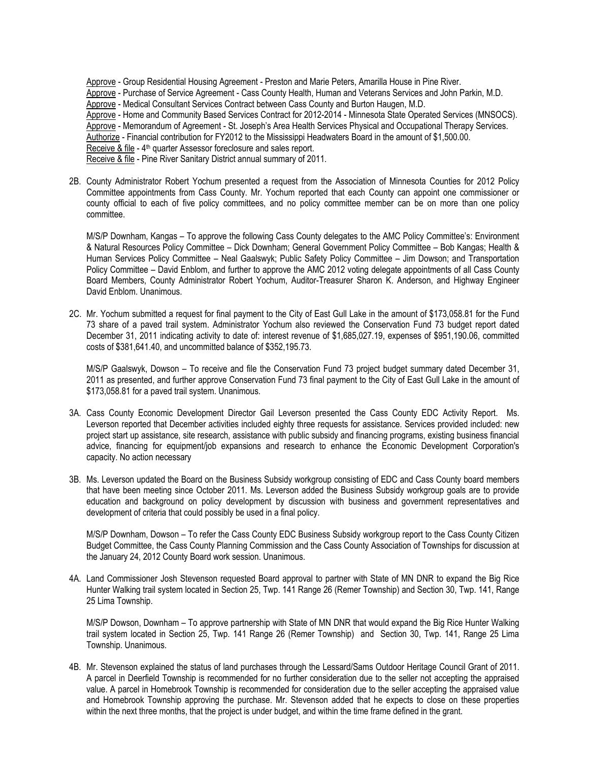Approve - Group Residential Housing Agreement - Preston and Marie Peters, Amarilla House in Pine River. Approve - Purchase of Service Agreement - Cass County Health, Human and Veterans Services and John Parkin, M.D. Approve - Medical Consultant Services Contract between Cass County and Burton Haugen, M.D. Approve - Home and Community Based Services Contract for 2012-2014 - Minnesota State Operated Services (MNSOCS). Approve - Memorandum of Agreement - St. Joseph's Area Health Services Physical and Occupational Therapy Services. Authorize - Financial contribution for FY2012 to the Mississippi Headwaters Board in the amount of \$1,500.00. Receive & file - 4<sup>th</sup> quarter Assessor foreclosure and sales report. Receive & file - Pine River Sanitary District annual summary of 2011.

2B. County Administrator Robert Yochum presented a request from the Association of Minnesota Counties for 2012 Policy Committee appointments from Cass County. Mr. Yochum reported that each County can appoint one commissioner or county official to each of five policy committees, and no policy committee member can be on more than one policy committee.

M/S/P Downham, Kangas – To approve the following Cass County delegates to the AMC Policy Committee's: Environment & Natural Resources Policy Committee – Dick Downham; General Government Policy Committee – Bob Kangas; Health & Human Services Policy Committee – Neal Gaalswyk; Public Safety Policy Committee – Jim Dowson; and Transportation Policy Committee – David Enblom, and further to approve the AMC 2012 voting delegate appointments of all Cass County Board Members, County Administrator Robert Yochum, Auditor-Treasurer Sharon K. Anderson, and Highway Engineer David Enblom. Unanimous.

2C. Mr. Yochum submitted a request for final payment to the City of East Gull Lake in the amount of \$173,058.81 for the Fund 73 share of a paved trail system. Administrator Yochum also reviewed the Conservation Fund 73 budget report dated December 31, 2011 indicating activity to date of: interest revenue of \$1,685,027.19, expenses of \$951,190.06, committed costs of \$381,641.40, and uncommitted balance of \$352,195.73.

M/S/P Gaalswyk, Dowson – To receive and file the Conservation Fund 73 project budget summary dated December 31, 2011 as presented, and further approve Conservation Fund 73 final payment to the City of East Gull Lake in the amount of \$173,058.81 for a paved trail system. Unanimous.

- 3A. Cass County Economic Development Director Gail Leverson presented the Cass County EDC Activity Report. Ms. Leverson reported that December activities included eighty three requests for assistance. Services provided included: new project start up assistance, site research, assistance with public subsidy and financing programs, existing business financial advice, financing for equipment/job expansions and research to enhance the Economic Development Corporation's capacity. No action necessary
- 3B. Ms. Leverson updated the Board on the Business Subsidy workgroup consisting of EDC and Cass County board members that have been meeting since October 2011. Ms. Leverson added the Business Subsidy workgroup goals are to provide education and background on policy development by discussion with business and government representatives and development of criteria that could possibly be used in a final policy.

M/S/P Downham, Dowson – To refer the Cass County EDC Business Subsidy workgroup report to the Cass County Citizen Budget Committee, the Cass County Planning Commission and the Cass County Association of Townships for discussion at the January 24, 2012 County Board work session. Unanimous.

4A. Land Commissioner Josh Stevenson requested Board approval to partner with State of MN DNR to expand the Big Rice Hunter Walking trail system located in Section 25, Twp. 141 Range 26 (Remer Township) and Section 30, Twp. 141, Range 25 Lima Township.

M/S/P Dowson, Downham – To approve partnership with State of MN DNR that would expand the Big Rice Hunter Walking trail system located in Section 25, Twp. 141 Range 26 (Remer Township) and Section 30, Twp. 141, Range 25 Lima Township. Unanimous.

4B. Mr. Stevenson explained the status of land purchases through the Lessard/Sams Outdoor Heritage Council Grant of 2011. A parcel in Deerfield Township is recommended for no further consideration due to the seller not accepting the appraised value. A parcel in Homebrook Township is recommended for consideration due to the seller accepting the appraised value and Homebrook Township approving the purchase. Mr. Stevenson added that he expects to close on these properties within the next three months, that the project is under budget, and within the time frame defined in the grant.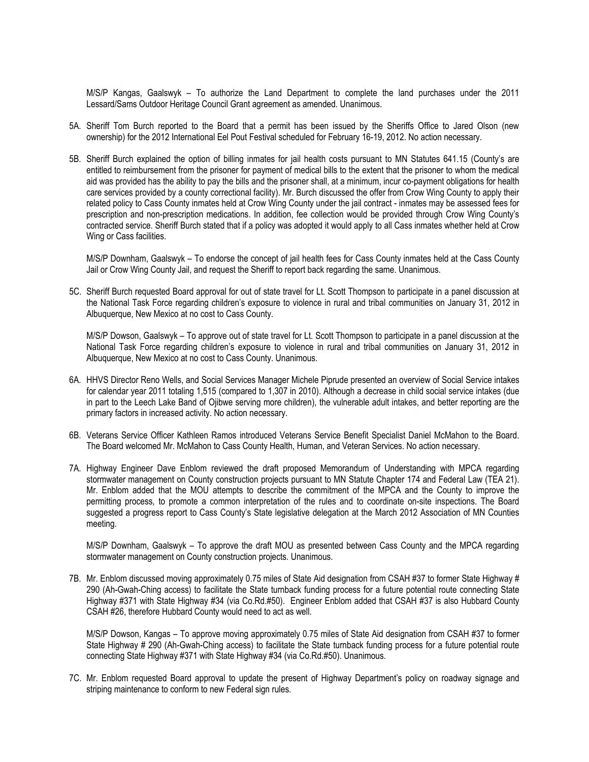M/S/P Kangas, Gaalswyk – To authorize the Land Department to complete the land purchases under the 2011 Lessard/Sams Outdoor Heritage Council Grant agreement as amended. Unanimous.

- 5A. Sheriff Tom Burch reported to the Board that a permit has been issued by the Sheriffs Office to Jared Olson (new ownership) for the 2012 International Eel Pout Festival scheduled for February 16-19, 2012. No action necessary.
- 5B. Sheriff Burch explained the option of billing inmates for jail health costs pursuant to MN Statutes 641.15 (County's are entitled to reimbursement from the prisoner for payment of medical bills to the extent that the prisoner to whom the medical aid was provided has the ability to pay the bills and the prisoner shall, at a minimum, incur co-payment obligations for health care services provided by a county correctional facility). Mr. Burch discussed the offer from Crow Wing County to apply their related policy to Cass County inmates held at Crow Wing County under the jail contract - inmates may be assessed fees for prescription and non-prescription medications. In addition, fee collection would be provided through Crow Wing County's contracted service. Sheriff Burch stated that if a policy was adopted it would apply to all Cass inmates whether held at Crow Wing or Cass facilities.

M/S/P Downham, Gaalswyk – To endorse the concept of jail health fees for Cass County inmates held at the Cass County Jail or Crow Wing County Jail, and request the Sheriff to report back regarding the same. Unanimous.

5C. Sheriff Burch requested Board approval for out of state travel for Lt. Scott Thompson to participate in a panel discussion at the National Task Force regarding children's exposure to violence in rural and tribal communities on January 31, 2012 in Albuquerque, New Mexico at no cost to Cass County.

M/S/P Dowson, Gaalswyk – To approve out of state travel for Lt. Scott Thompson to participate in a panel discussion at the National Task Force regarding children's exposure to violence in rural and tribal communities on January 31, 2012 in Albuquerque, New Mexico at no cost to Cass County. Unanimous.

- 6A. HHVS Director Reno Wells, and Social Services Manager Michele Piprude presented an overview of Social Service intakes for calendar year 2011 totaling 1,515 (compared to 1,307 in 2010). Although a decrease in child social service intakes (due in part to the Leech Lake Band of Ojibwe serving more children), the vulnerable adult intakes, and better reporting are the primary factors in increased activity. No action necessary.
- 6B. Veterans Service Officer Kathleen Ramos introduced Veterans Service Benefit Specialist Daniel McMahon to the Board. The Board welcomed Mr. McMahon to Cass County Health, Human, and Veteran Services. No action necessary.
- 7A. Highway Engineer Dave Enblom reviewed the draft proposed Memorandum of Understanding with MPCA regarding stormwater management on County construction projects pursuant to MN Statute Chapter 174 and Federal Law (TEA 21). Mr. Enblom added that the MOU attempts to describe the commitment of the MPCA and the County to improve the permitting process, to promote a common interpretation of the rules and to coordinate on-site inspections. The Board suggested a progress report to Cass County's State legislative delegation at the March 2012 Association of MN Counties meeting.

M/S/P Downham, Gaalswyk – To approve the draft MOU as presented between Cass County and the MPCA regarding stormwater management on County construction projects. Unanimous.

7B. Mr. Enblom discussed moving approximately 0.75 miles of State Aid designation from CSAH #37 to former State Highway # 290 (Ah-Gwah-Ching access) to facilitate the State turnback funding process for a future potential route connecting State Highway #371 with State Highway #34 (via Co.Rd.#50). Engineer Enblom added that CSAH #37 is also Hubbard County CSAH #26, therefore Hubbard County would need to act as well.

M/S/P Dowson, Kangas – To approve moving approximately 0.75 miles of State Aid designation from CSAH #37 to former State Highway # 290 (Ah-Gwah-Ching access) to facilitate the State turnback funding process for a future potential route connecting State Highway #371 with State Highway #34 (via Co.Rd.#50). Unanimous.

7C. Mr. Enblom requested Board approval to update the present of Highway Department's policy on roadway signage and striping maintenance to conform to new Federal sign rules.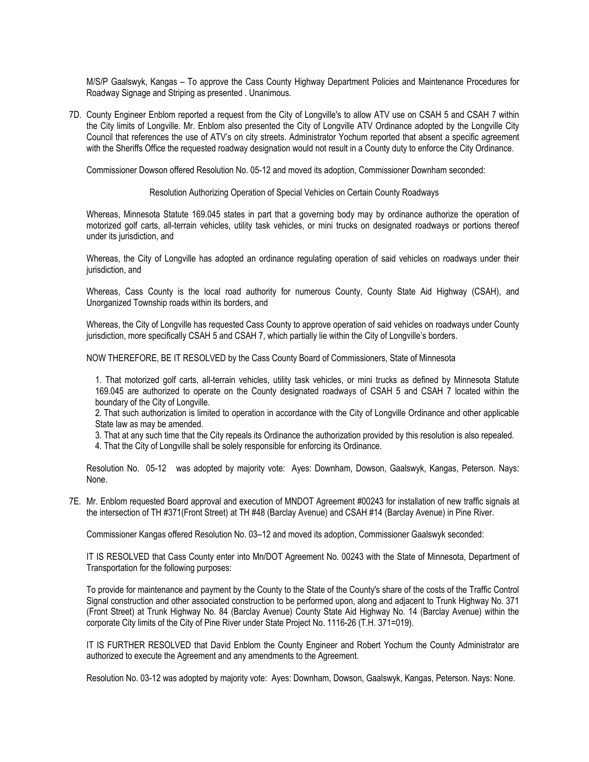M/S/P Gaalswyk, Kangas – To approve the Cass County Highway Department Policies and Maintenance Procedures for Roadway Signage and Striping as presented . Unanimous.

7D. County Engineer Enblom reported a request from the City of Longville's to allow ATV use on CSAH 5 and CSAH 7 within the City limits of Longville. Mr. Enblom also presented the City of Longville ATV Ordinance adopted by the Longville City Council that references the use of ATV's on city streets. Administrator Yochum reported that absent a specific agreement with the Sheriffs Office the requested roadway designation would not result in a County duty to enforce the City Ordinance.

Commissioner Dowson offered Resolution No. 05-12 and moved its adoption, Commissioner Downham seconded:

Resolution Authorizing Operation of Special Vehicles on Certain County Roadways

Whereas, Minnesota Statute 169.045 states in part that a governing body may by ordinance authorize the operation of motorized golf carts, all-terrain vehicles, utility task vehicles, or mini trucks on designated roadways or portions thereof under its jurisdiction, and

Whereas, the City of Longville has adopted an ordinance regulating operation of said vehicles on roadways under their jurisdiction, and

Whereas, Cass County is the local road authority for numerous County, County State Aid Highway (CSAH), and Unorganized Township roads within its borders, and

Whereas, the City of Longville has requested Cass County to approve operation of said vehicles on roadways under County jurisdiction, more specifically CSAH 5 and CSAH 7, which partially lie within the City of Longville's borders.

NOW THEREFORE, BE IT RESOLVED by the Cass County Board of Commissioners, State of Minnesota

1. That motorized golf carts, all-terrain vehicles, utility task vehicles, or mini trucks as defined by Minnesota Statute 169.045 are authorized to operate on the County designated roadways of CSAH 5 and CSAH 7 located within the boundary of the City of Longville.

2. That such authorization is limited to operation in accordance with the City of Longville Ordinance and other applicable State law as may be amended.

3. That at any such time that the City repeals its Ordinance the authorization provided by this resolution is also repealed.

4. That the City of Longville shall be solely responsible for enforcing its Ordinance.

Resolution No. 05-12 was adopted by majority vote: Ayes: Downham, Dowson, Gaalswyk, Kangas, Peterson. Nays: None.

7E. Mr. Enblom requested Board approval and execution of MNDOT Agreement #00243 for installation of new traffic signals at the intersection of TH #371(Front Street) at TH #48 (Barclay Avenue) and CSAH #14 (Barclay Avenue) in Pine River.

Commissioner Kangas offered Resolution No. 03–12 and moved its adoption, Commissioner Gaalswyk seconded:

IT IS RESOLVED that Cass County enter into Mn/DOT Agreement No. 00243 with the State of Minnesota, Department of Transportation for the following purposes:

To provide for maintenance and payment by the County to the State of the County's share of the costs of the Traffic Control Signal construction and other associated construction to be performed upon, along and adjacent to Trunk Highway No. 371 (Front Street) at Trunk Highway No. 84 (Barclay Avenue) County State Aid Highway No. 14 (Barclay Avenue) within the corporate City limits of the City of Pine River under State Project No. 1116-26 (T.H. 371=019).

IT IS FURTHER RESOLVED that David Enblom the County Engineer and Robert Yochum the County Administrator are authorized to execute the Agreement and any amendments to the Agreement.

Resolution No. 03-12 was adopted by majority vote: Ayes: Downham, Dowson, Gaalswyk, Kangas, Peterson. Nays: None.